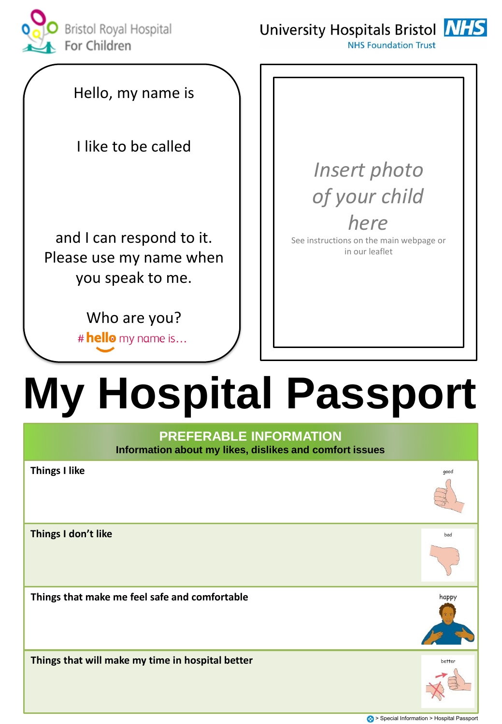

University Hospitals Bristol NHS



**NHS Foundation Trust** 

Hello, my name is

I like to be called

and I can respond to it. Please use my name when you speak to me.

> Who are you? # hello my name is...

*Insert photo of your child here*

See instructions on the main webpage or in our leaflet

# **My Hospital Passport**

### **PREFERABLE INFORMATION Information about my likes, dislikes and comfort issues**

| <b>Things I like</b>                             | good   |
|--------------------------------------------------|--------|
| Things I don't like                              | bad    |
| Things that make me feel safe and comfortable    | happy  |
| Things that will make my time in hospital better | better |

> Special Information > Hospital Passport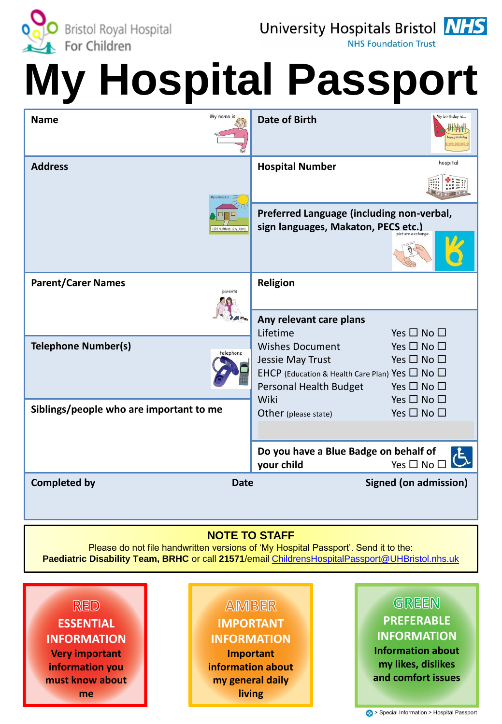

University Hospitals Bristol **NHS** 

**NHS Foundation Trust** 

# **My Hospital Passport**

| My name is.<br><b>Name</b>              | My birthday is<br><b>Date of Birth</b>                                                                                                                                                                                                                                                                                                |
|-----------------------------------------|---------------------------------------------------------------------------------------------------------------------------------------------------------------------------------------------------------------------------------------------------------------------------------------------------------------------------------------|
| <b>Address</b>                          | hospital<br><b>Hospital Number</b>                                                                                                                                                                                                                                                                                                    |
| 1234 N. 5th St., City, State            | Preferred Language (including non-verbal,<br>sign languages, Makaton, PECS etc.)<br>picture exchange                                                                                                                                                                                                                                  |
| <b>Parent/Carer Names</b><br>parents    | Religion                                                                                                                                                                                                                                                                                                                              |
| <b>Telephone Number(s)</b><br>telephone | Any relevant care plans<br>Lifetime<br>Yes $\square$ No $\square$<br><b>Wishes Document</b><br>Yes $\square$ No $\square$<br>Yes $\square$ No $\square$<br>Jessie May Trust<br>EHCP (Education & Health Care Plan) Yes $\Box$ No $\Box$<br>Personal Health Budget<br>Yes $\square$ No $\square$<br>Wiki<br>Yes $\square$ No $\square$ |
| Siblings/people who are important to me | Yes $\square$ No $\square$<br>Other (please state)                                                                                                                                                                                                                                                                                    |
|                                         | Do you have a Blue Badge on behalf of<br>your child<br>Yes $\square$ No $\square$                                                                                                                                                                                                                                                     |
| <b>Completed by</b>                     | Signed (on admission)<br><b>Date</b>                                                                                                                                                                                                                                                                                                  |

## **NOTE TO STAFF**

Please do not file handwritten versions of 'My Hospital Passport'. Send it to the: **Paediatric Disability Team, BRHC** or call **21571**/email [ChildrensHospitalPassport@UHBristol.nhs.uk](mailto:ChildrensHospitalPassport@UHBristol.nhs.uk)

## **RED ESSENTIAL INFORMATION Very important information you must know about**

**me**

## **AMBER IMPORTANT INFORMATION**

**Important information about my general daily living**

## GREEN

## **PREFERABLE INFORMATION**

**Information about my likes, dislikes and comfort issues**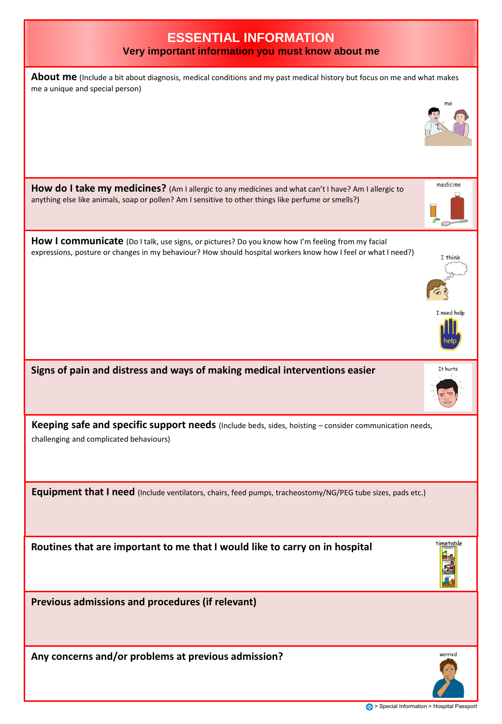| <b>ESSENTIAL INFORMATION</b><br>Very important information you must know about me                                                                                                                                 |             |
|-------------------------------------------------------------------------------------------------------------------------------------------------------------------------------------------------------------------|-------------|
| About me (Include a bit about diagnosis, medical conditions and my past medical history but focus on me and what makes<br>me a unique and special person)                                                         | me          |
|                                                                                                                                                                                                                   |             |
| How do I take my medicines? (Am I allergic to any medicines and what can't I have? Am I allergic to<br>anything else like animals, soap or pollen? Am I sensitive to other things like perfume or smells?)        | medicine    |
| How I communicate (Do I talk, use signs, or pictures? Do you know how I'm feeling from my facial<br>expressions, posture or changes in my behaviour? How should hospital workers know how I feel or what I need?) | I think     |
|                                                                                                                                                                                                                   | I need help |
| Signs of pain and distress and ways of making medical interventions easier                                                                                                                                        | It hurts    |
| Keeping safe and specific support needs (Include beds, sides, hoisting - consider communication needs,<br>challenging and complicated behaviours)                                                                 |             |
| Equipment that I need (Include ventilators, chairs, feed pumps, tracheostomy/NG/PEG tube sizes, pads etc.)                                                                                                        |             |
| Routines that are important to me that I would like to carry on in hospital                                                                                                                                       | timetable   |
| Previous admissions and procedures (if relevant)                                                                                                                                                                  |             |
| Any concerns and/or problems at previous admission?                                                                                                                                                               | worried     |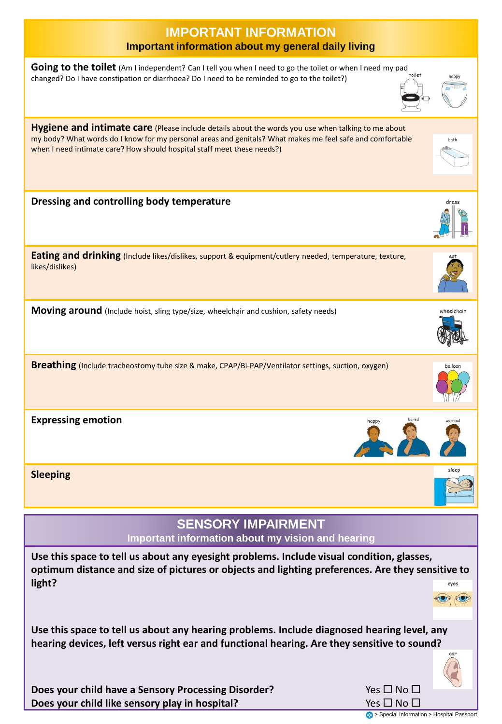| <b>IMPORTANT INFORMATION</b><br>Important information about my general daily living                                                                                                                                                                                                        |            |  |
|--------------------------------------------------------------------------------------------------------------------------------------------------------------------------------------------------------------------------------------------------------------------------------------------|------------|--|
| Going to the toilet (Am I independent? Can I tell you when I need to go the toilet or when I need my pad<br>toilet<br>changed? Do I have constipation or diarrhoea? Do I need to be reminded to go to the toilet?)                                                                         |            |  |
| Hygiene and intimate care (Please include details about the words you use when talking to me about<br>my body? What words do I know for my personal areas and genitals? What makes me feel safe and comfortable<br>when I need intimate care? How should hospital staff meet these needs?) | bath       |  |
| Dressing and controlling body temperature                                                                                                                                                                                                                                                  | dress      |  |
| Eating and drinking (Include likes/dislikes, support & equipment/cutlery needed, temperature, texture,<br>likes/dislikes)                                                                                                                                                                  |            |  |
| Moving around (Include hoist, sling type/size, wheelchair and cushion, safety needs)                                                                                                                                                                                                       | wheelchair |  |
| Breathing (Include tracheostomy tube size & make, CPAP/Bi-PAP/Ventilator settings, suction, oxygen)                                                                                                                                                                                        | balloon    |  |
| <b>Expressing emotion</b><br>bored<br>happy<br>B                                                                                                                                                                                                                                           |            |  |
| <b>Sleeping</b>                                                                                                                                                                                                                                                                            |            |  |
| <b>SENSORY IMPAIRMENT</b><br>Important information about my vision and hearing                                                                                                                                                                                                             |            |  |
| Use this space to tell us about any eyesight problems. Include visual condition, glasses,<br>optimum distance and size of pictures or objects and lighting preferences. Are they sensitive to<br>light?                                                                                    | eyes       |  |
| Use this space to tell us about any hearing problems. Include diagnosed hearing level, any<br>hearing devices, left versus right ear and functional hearing. Are they sensitive to sound?                                                                                                  |            |  |
| Yes $\square$ No $\square$<br>Does your child have a Sensory Processing Disorder?                                                                                                                                                                                                          |            |  |

**Does your child like sensory play in hospital?** 

Yes **No D**<br> **•** Special Information > Hospital Passport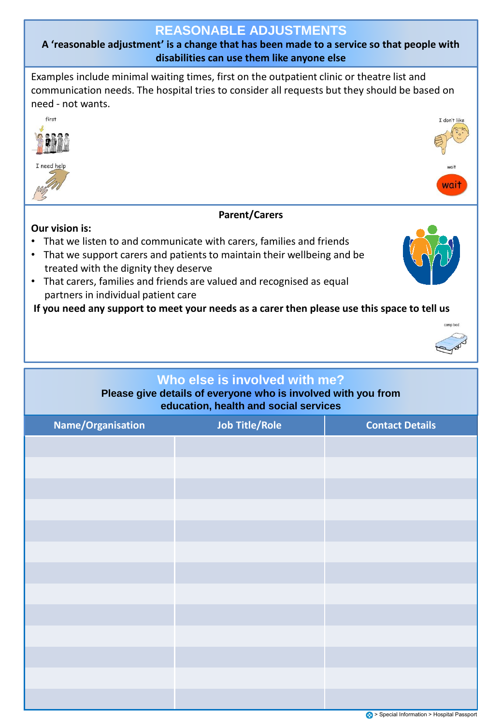## **REASONABLE ADJUSTMENTS**

**A 'reasonable adjustment' is a change that has been made to a service so that people with disabilities can use them like anyone else**

Examples include minimal waiting times, first on the outpatient clinic or theatre list and communication needs. The hospital tries to consider all requests but they should be based on need - not wants.



• That carers, families and friends are valued and recognised as equal partners in individual patient care

**If you need any support to meet your needs as a carer then please use this space to tell us**



**Please give details of everyone who is involved with you from education, health and social services**

| Name/Organisation | <b>Job Title/Role</b> | <b>Contact Details</b>                  |
|-------------------|-----------------------|-----------------------------------------|
|                   |                       |                                         |
|                   |                       |                                         |
|                   |                       |                                         |
|                   |                       |                                         |
|                   |                       |                                         |
|                   |                       |                                         |
|                   |                       |                                         |
|                   |                       |                                         |
|                   |                       |                                         |
|                   |                       |                                         |
|                   |                       |                                         |
|                   |                       |                                         |
|                   |                       |                                         |
|                   |                       | Special Information > Hospital Passport |